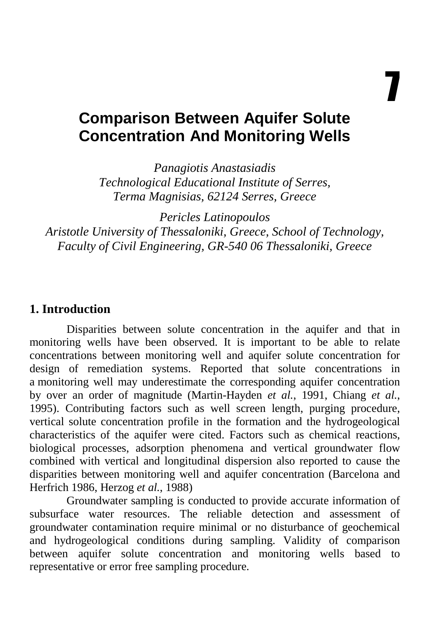7

# **Comparison Between Aquifer Solute Concentration And Monitoring Wells**

*Panagiotis Anastasiadis Technological Educational Institute of Serres, Terma Magnisias, 62124 Serres, Greece* 

*Pericles Latinopoulos Aristotle University of Thessaloniki, Greece, School of Technology, Faculty of Civil Engineering, GR-540 06 Thessaloniki, Greece* 

#### **1. Introduction**

Disparities between solute concentration in the aquifer and that in monitoring wells have been observed. It is important to be able to relate concentrations between monitoring well and aquifer solute concentration for design of remediation systems. Reported that solute concentrations in a monitoring well may underestimate the corresponding aquifer concentration by over an order of magnitude (Martin-Hayden *et al.*, 1991, Chiang *et al.*, 1995). Contributing factors such as well screen length, purging procedure, vertical solute concentration profile in the formation and the hydrogeological characteristics of the aquifer were cited. Factors such as chemical reactions, biological processes, adsorption phenomena and vertical groundwater flow combined with vertical and longitudinal dispersion also reported to cause the disparities between monitoring well and aquifer concentration (Barcelona and Herfrich 1986, Herzog *et al.*, 1988)

Groundwater sampling is conducted to provide accurate information of subsurface water resources. The reliable detection and assessment of groundwater contamination require minimal or no disturbance of geochemical and hydrogeological conditions during sampling. Validity of comparison between aquifer solute concentration and monitoring wells based to representative or error free sampling procedure.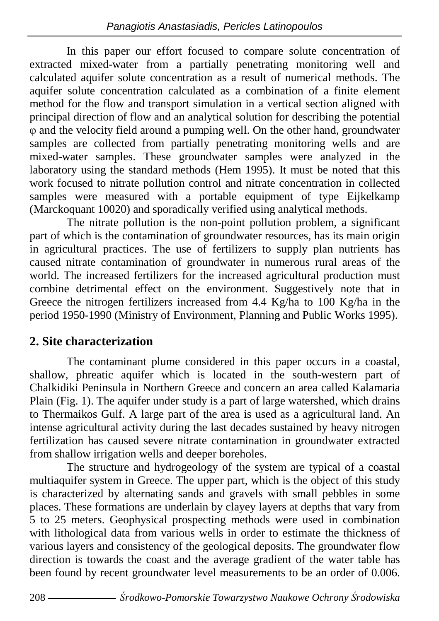In this paper our effort focused to compare solute concentration of extracted mixed-water from a partially penetrating monitoring well and calculated aquifer solute concentration as a result of numerical methods. The aquifer solute concentration calculated as a combination of a finite element method for the flow and transport simulation in a vertical section aligned with principal direction of flow and an analytical solution for describing the potential φ and the velocity field around a pumping well. On the other hand, groundwater samples are collected from partially penetrating monitoring wells and are mixed-water samples. These groundwater samples were analyzed in the laboratory using the standard methods (Hem 1995). It must be noted that this work focused to nitrate pollution control and nitrate concentration in collected samples were measured with a portable equipment of type Eijkelkamp (Marckoquant 10020) and sporadically verified using analytical methods.

The nitrate pollution is the non-point pollution problem, a significant part of which is the contamination of groundwater resources, has its main origin in agricultural practices. The use of fertilizers to supply plan nutrients has caused nitrate contamination of groundwater in numerous rural areas of the world. The increased fertilizers for the increased agricultural production must combine detrimental effect on the environment. Suggestively note that in Greece the nitrogen fertilizers increased from 4.4 Kg/ha to 100 Kg/ha in the period 1950-1990 (Ministry of Environment, Planning and Public Works 1995).

## **2. Site characterization**

The contaminant plume considered in this paper occurs in a coastal, shallow, phreatic aquifer which is located in the south-western part of Chalkidiki Peninsula in Northern Greece and concern an area called Kalamaria Plain (Fig. 1). The aquifer under study is a part of large watershed, which drains to Thermaikos Gulf. A large part of the area is used as a agricultural land. An intense agricultural activity during the last decades sustained by heavy nitrogen fertilization has caused severe nitrate contamination in groundwater extracted from shallow irrigation wells and deeper boreholes.

The structure and hydrogeology of the system are typical of a coastal multiaquifer system in Greece. The upper part, which is the object of this study is characterized by alternating sands and gravels with small pebbles in some places. These formations are underlain by clayey layers at depths that vary from 5 to 25 meters. Geophysical prospecting methods were used in combination with lithological data from various wells in order to estimate the thickness of various layers and consistency of the geological deposits. The groundwater flow direction is towards the coast and the average gradient of the water table has been found by recent groundwater level measurements to be an order of 0.006.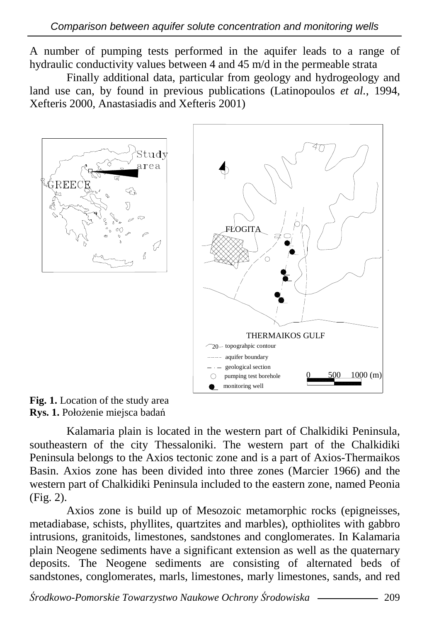A number of pumping tests performed in the aquifer leads to a range of hydraulic conductivity values between 4 and 45 m/d in the permeable strata

Finally additional data, particular from geology and hydrogeology and land use can, by found in previous publications (Latinopoulos *et al.*, 1994, Xefteris 2000, Anastasiadis and Xefteris 2001)





Fig. 1. Location of the study area **Rys. 1.** Położenie miejsca badań

Kalamaria plain is located in the western part of Chalkidiki Peninsula, southeastern of the city Thessaloniki. The western part of the Chalkidiki Peninsula belongs to the Axios tectonic zone and is a part of Axios-Thermaikos Basin. Axios zone has been divided into three zones (Marcier 1966) and the western part of Chalkidiki Peninsula included to the eastern zone, named Peonia (Fig. 2).

Axios zone is build up of Mesozoic metamorphic rocks (epigneisses, metadiabase, schists, phyllites, quartzites and marbles), opthiolites with gabbro intrusions, granitoids, limestones, sandstones and conglomerates. In Kalamaria plain Neogene sediments have a significant extension as well as the quaternary deposits. The Neogene sediments are consisting of alternated beds of sandstones, conglomerates, marls, limestones, marly limestones, sands, and red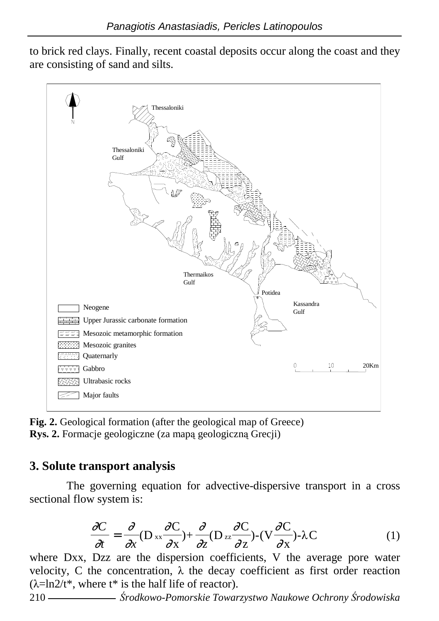to brick red clays. Finally, recent coastal deposits occur along the coast and they are consisting of sand and silts.



**Fig. 2.** Geological formation (after the geological map of Greece) **Rys. 2.** Formacje geologiczne (za mapą geologiczną Grecji)

## **3. Solute transport analysis**

The governing equation for advective-dispersive transport in a cross sectional flow system is:

$$
\frac{\partial C}{\partial t} = \frac{\partial}{\partial x} (D_{xx} \frac{\partial C}{\partial x}) + \frac{\partial}{\partial z} (D_{zz} \frac{\partial C}{\partial z}) - (V \frac{\partial C}{\partial x}) - \lambda C \tag{1}
$$

where Dxx, Dzz are the dispersion coefficients, V the average pore water velocity, C the concentration,  $λ$  the decay coefficient as first order reaction  $(\lambda = \ln 2/t^*$ , where  $t^*$  is the half life of reactor).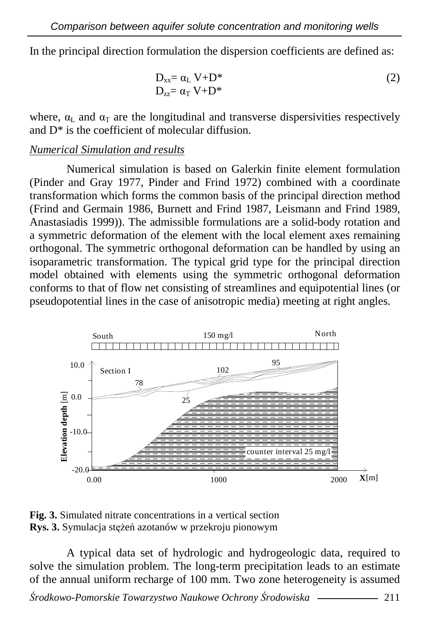In the principal direction formulation the dispersion coefficients are defined as:

$$
D_{xx} = \alpha_L V + D^*
$$
  
\n
$$
D_{zz} = \alpha_T V + D^*
$$
\n(2)

where,  $\alpha_L$  and  $\alpha_T$  are the longitudinal and transverse dispersivities respectively and D\* is the coefficient of molecular diffusion.

#### *Numerical Simulation and results*

Numerical simulation is based on Galerkin finite element formulation (Pinder and Gray 1977, Pinder and Frind 1972) combined with a coordinate transformation which forms the common basis of the principal direction method (Frind and Germain 1986, Burnett and Frind 1987, Leismann and Frind 1989, Anastasiadis 1999)). The admissible formulations are a solid-body rotation and a symmetric deformation of the element with the local element axes remaining orthogonal. The symmetric orthogonal deformation can be handled by using an isoparametric transformation. The typical grid type for the principal direction model obtained with elements using the symmetric orthogonal deformation conforms to that of flow net consisting of streamlines and equipotential lines (or pseudopotential lines in the case of anisotropic media) meeting at right angles.



**Fig. 3.** Simulated nitrate concentrations in a vertical section **Rys. 3.** Symulacja stężeń azotanów w przekroju pionowym

A typical data set of hydrologic and hydrogeologic data, required to solve the simulation problem. The long-term precipitation leads to an estimate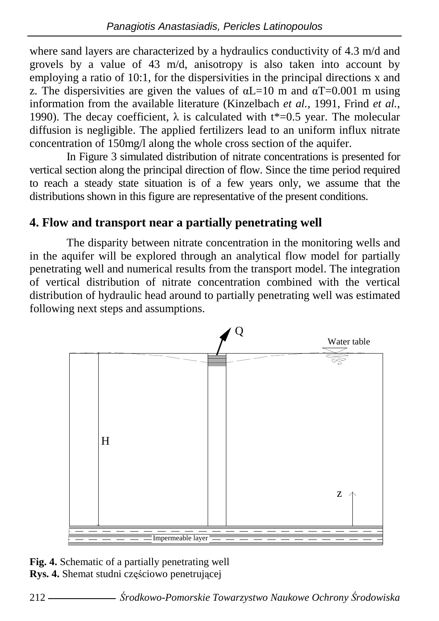where sand layers are characterized by a hydraulics conductivity of 4.3 m/d and grovels by a value of 43 m/d, anisotropy is also taken into account by employing a ratio of 10:1, for the dispersivities in the principal directions x and z. The dispersivities are given the values of  $\alpha$ L=10 m and  $\alpha$ T=0.001 m using information from the available literature (Kinzelbach *et al.*, 1991, Frind *et al.*, 1990). The decay coefficient,  $\lambda$  is calculated with t\*=0.5 year. The molecular diffusion is negligible. The applied fertilizers lead to an uniform influx nitrate concentration of 150mg/l along the whole cross section of the aquifer.

In Figure 3 simulated distribution of nitrate concentrations is presented for vertical section along the principal direction of flow. Since the time period required to reach a steady state situation is of a few years only, we assume that the distributions shown in this figure are representative of the present conditions.

# **4. Flow and transport near a partially penetrating well**

The disparity between nitrate concentration in the monitoring wells and in the aquifer will be explored through an analytical flow model for partially penetrating well and numerical results from the transport model. The integration of vertical distribution of nitrate concentration combined with the vertical distribution of hydraulic head around to partially penetrating well was estimated following next steps and assumptions.

![](_page_5_Figure_5.jpeg)

**Fig. 4.** Schematic of a partially penetrating well **Rys. 4.** Shemat studni częściowo penetrującej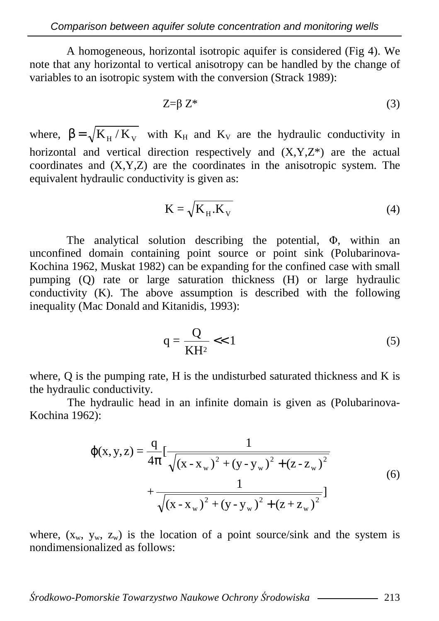A homogeneous, horizontal isotropic aquifer is considered (Fig 4). We note that any horizontal to vertical anisotropy can be handled by the change of variables to an isotropic system with the conversion (Strack 1989):

$$
Z = \beta Z^* \tag{3}
$$

where,  $\beta = \sqrt{K_H/K_v}$  with  $K_H$  and  $K_V$  are the hydraulic conductivity in horizontal and vertical direction respectively and  $(X, Y, Z^*)$  are the actual coordinates and (X,Y,Z) are the coordinates in the anisotropic system. The equivalent hydraulic conductivity is given as:

$$
K = \sqrt{K_{H} \cdot K_{V}} \tag{4}
$$

The analytical solution describing the potential, Φ, within an unconfined domain containing point source or point sink (Polubarinova-Kochina 1962, Muskat 1982) can be expanding for the confined case with small pumping (Q) rate or large saturation thickness (H) or large hydraulic conductivity (K). The above assumption is described with the following inequality (Mac Donald and Kitanidis, 1993):

$$
q = \frac{Q}{KH^2} \ll 1\tag{5}
$$

where,  $Q$  is the pumping rate,  $H$  is the undisturbed saturated thickness and  $K$  is the hydraulic conductivity.

 The hydraulic head in an infinite domain is given as (Polubarinova-Kochina 1962):

$$
\varphi(x, y, z) = \frac{q}{4\pi} \left[ \frac{1}{\sqrt{(x - x_w)^2 + (y - y_w)^2 + (z - z_w)^2}} + \frac{1}{\sqrt{(x - x_w)^2 + (y - y_w)^2 + (z + z_w)^2}} \right]
$$
(6)

where,  $(x_w, y_w, z_w)$  is the location of a point source/sink and the system is nondimensionalized as follows: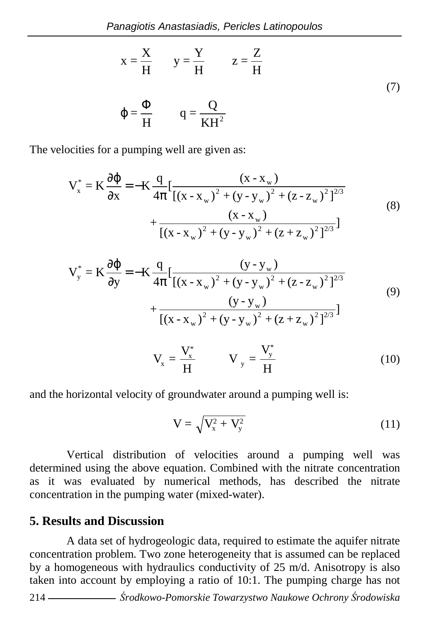$$
x = \frac{X}{H} \qquad y = \frac{Y}{H} \qquad z = \frac{Z}{H}
$$
  

$$
\varphi = \frac{\Phi}{H} \qquad q = \frac{Q}{KH^2}
$$
 (7)

The velocities for a pumping well are given as:

$$
V_x^* = K \frac{\partial \phi}{\partial x} = -K \frac{q}{4\pi} \left[ \frac{(x - x_w)}{[(x - x_w)^2 + (y - y_w)^2 + (z - z_w)^2]^{2/3}} + \frac{(x - x_w)}{[(x - x_w)^2 + (y - y_w)^2 + (z + z_w)^2]^{2/3}} \right]
$$
(8)

$$
V_{y}^{*} = K \frac{\partial \phi}{\partial y} = -K \frac{q}{4\pi} \left[ \frac{(y - y_{w})}{[(x - x_{w})^{2} + (y - y_{w})^{2} + (z - z_{w})^{2}]^{2/3}} + \frac{(y - y_{w})}{[(x - x_{w})^{2} + (y - y_{w})^{2} + (z + z_{w})^{2}]^{2/3}} \right]
$$
(9)  

$$
V_{x} = \frac{V_{x}^{*}}{H} \qquad V_{y} = \frac{V_{y}^{*}}{H}
$$
(10)

and the horizontal velocity of groundwater around a pumping well is:

H

$$
V = \sqrt{V_x^2 + V_y^2}
$$
 (11)

H

Vertical distribution of velocities around a pumping well was determined using the above equation. Combined with the nitrate concentration as it was evaluated by numerical methods, has described the nitrate concentration in the pumping water (mixed-water).

### **5. Results and Discussion**

A data set of hydrogeologic data, required to estimate the aquifer nitrate concentration problem. Two zone heterogeneity that is assumed can be replaced by a homogeneous with hydraulics conductivity of 25 m/d. Anisotropy is also taken into account by employing a ratio of 10:1. The pumping charge has not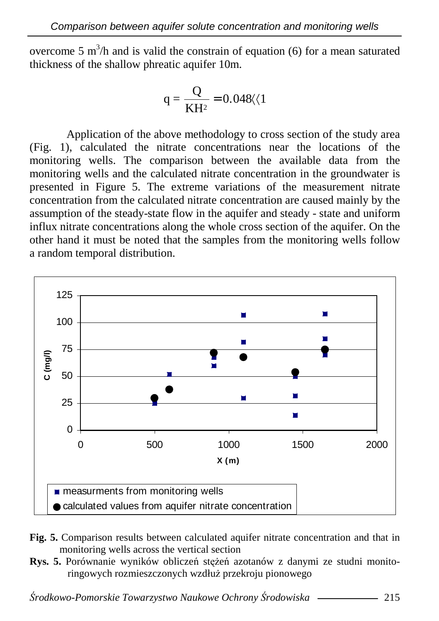overcome 5  $\text{m}^3$ /h and is valid the constrain of equation (6) for a mean saturated thickness of the shallow phreatic aquifer 10m.

$$
q = \frac{Q}{KH^2} = 0.048 \langle 1
$$

Application of the above methodology to cross section of the study area (Fig. 1), calculated the nitrate concentrations near the locations of the monitoring wells. The comparison between the available data from the monitoring wells and the calculated nitrate concentration in the groundwater is presented in Figure 5. The extreme variations of the measurement nitrate concentration from the calculated nitrate concentration are caused mainly by the assumption of the steady-state flow in the aquifer and steady - state and uniform influx nitrate concentrations along the whole cross section of the aquifer. On the other hand it must be noted that the samples from the monitoring wells follow a random temporal distribution.

![](_page_8_Figure_4.jpeg)

- **Fig. 5.** Comparison results between calculated aquifer nitrate concentration and that in monitoring wells across the vertical section
- **Rys. 5.** Porównanie wyników obliczeń stężeń azotanów z danymi ze studni monitoringowych rozmieszczonych wzdłuż przekroju pionowego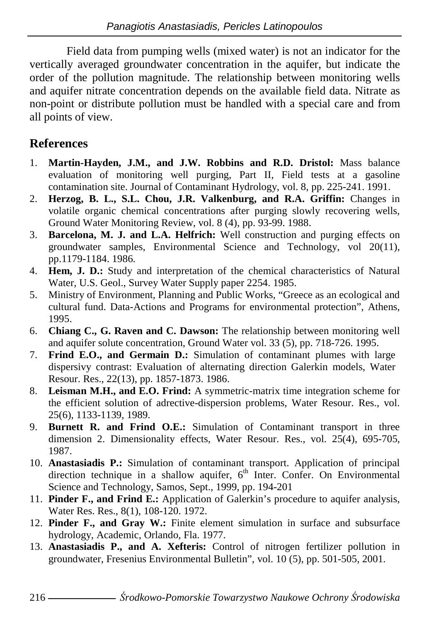Field data from pumping wells (mixed water) is not an indicator for the vertically averaged groundwater concentration in the aquifer, but indicate the order of the pollution magnitude. The relationship between monitoring wells and aquifer nitrate concentration depends on the available field data. Nitrate as non-point or distribute pollution must be handled with a special care and from all points of view.

# **References**

- 1. **Martin-Hayden, J.M., and J.W. Robbins and R.D. Dristol:** Mass balance evaluation of monitoring well purging, Part II, Field tests at a gasoline contamination site. Journal of Contaminant Hydrology, vol. 8, pp. 225-241. 1991.
- 2. **Herzog, B. L., S.L. Chou, J.R. Valkenburg, and R.A. Griffin:** Changes in volatile organic chemical concentrations after purging slowly recovering wells, Ground Water Monitoring Review, vol. 8 (4), pp. 93-99. 1988.
- 3. **Barcelona, M. J. and L.A. Helfrich:** Well construction and purging effects on groundwater samples, Environmental Science and Technology, vol 20(11), pp.1179-1184. 1986.
- 4. **Hem, J. D.:** Study and interpretation of the chemical characteristics of Natural Water, U.S. Geol., Survey Water Supply paper 2254. 1985.
- 5. Ministry of Environment, Planning and Public Works, "Greece as an ecological and cultural fund. Data-Actions and Programs for environmental protection", Athens, 1995.
- 6. **Chiang C., G. Raven and C. Dawson:** The relationship between monitoring well and aquifer solute concentration, Ground Water vol. 33 (5), pp. 718-726. 1995.
- 7. **Frind E.O., and Germain D.:** Simulation of contaminant plumes with large dispersivy contrast: Evaluation of alternating direction Galerkin models, Water Resour. Res., 22(13), pp. 1857-1873. 1986.
- 8. **Leisman M.H., and E.O. Frind:** A symmetric-matrix time integration scheme for the efficient solution of adrective-dispersion problems, Water Resour. Res., vol. 25(6), 1133-1139, 1989.
- 9. **Burnett R. and Frind O.E.:** Simulation of Contaminant transport in three dimension 2. Dimensionality effects, Water Resour. Res., vol. 25(4), 695-705, 1987.
- 10. **Anastasiadis P.:** Simulation of contaminant transport. Application of principal direction technique in a shallow aquifer,  $6<sup>th</sup>$  Inter. Confer. On Environmental Science and Technology, Samos, Sept., 1999, pp. 194-201
- 11. **Pinder F., and Frind E.:** Application of Galerkin's procedure to aquifer analysis, Water Res. Res., 8(1), 108-120. 1972.
- 12. **Pinder F., and Gray W.:** Finite element simulation in surface and subsurface hydrology, Academic, Orlando, Fla. 1977.
- 13. **Anastasiadis P., and A. Xefteris:** Control of nitrogen fertilizer pollution in groundwater, Fresenius Environmental Bulletin", vol. 10 (5), pp. 501-505, 2001.